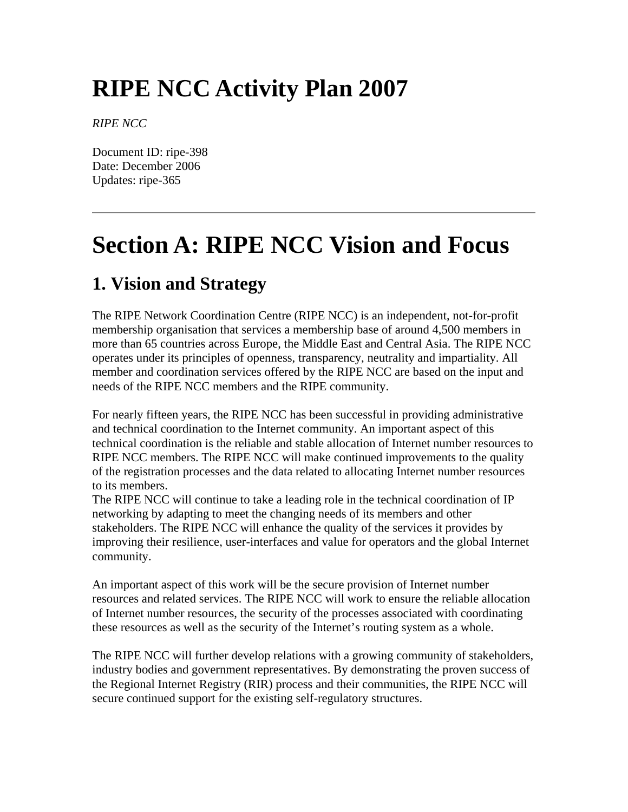# **RIPE NCC Activity Plan 2007**

*RIPE NCC*

Document ID: ripe-398 Date: December 2006 Updates: ripe-365

# **Section A: RIPE NCC Vision and Focus**

# **1. Vision and Strategy**

The RIPE Network Coordination Centre (RIPE NCC) is an independent, not-for-profit membership organisation that services a membership base of around 4,500 members in more than 65 countries across Europe, the Middle East and Central Asia. The RIPE NCC operates under its principles of openness, transparency, neutrality and impartiality. All member and coordination services offered by the RIPE NCC are based on the input and needs of the RIPE NCC members and the RIPE community.

For nearly fifteen years, the RIPE NCC has been successful in providing administrative and technical coordination to the Internet community. An important aspect of this technical coordination is the reliable and stable allocation of Internet number resources to RIPE NCC members. The RIPE NCC will make continued improvements to the quality of the registration processes and the data related to allocating Internet number resources to its members.

The RIPE NCC will continue to take a leading role in the technical coordination of IP networking by adapting to meet the changing needs of its members and other stakeholders. The RIPE NCC will enhance the quality of the services it provides by improving their resilience, user-interfaces and value for operators and the global Internet community.

An important aspect of this work will be the secure provision of Internet number resources and related services. The RIPE NCC will work to ensure the reliable allocation of Internet number resources, the security of the processes associated with coordinating these resources as well as the security of the Internet's routing system as a whole.

The RIPE NCC will further develop relations with a growing community of stakeholders, industry bodies and government representatives. By demonstrating the proven success of the Regional Internet Registry (RIR) process and their communities, the RIPE NCC will secure continued support for the existing self-regulatory structures.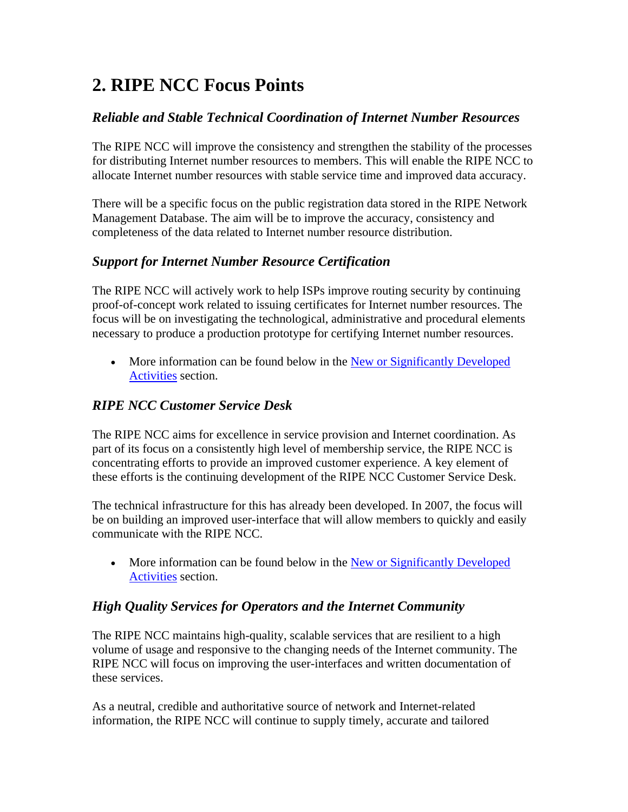# **2. RIPE NCC Focus Points**

## *Reliable and Stable Technical Coordination of Internet Number Resources*

The RIPE NCC will improve the consistency and strengthen the stability of the processes for distributing Internet number resources to members. This will enable the RIPE NCC to allocate Internet number resources with stable service time and improved data accuracy.

There will be a specific focus on the public registration data stored in the RIPE Network Management Database. The aim will be to improve the accuracy, consistency and completeness of the data related to Internet number resource distribution.

## *Support for Internet Number Resource Certification*

The RIPE NCC will actively work to help ISPs improve routing security by continuing proof-of-concept work related to issuing certificates for Internet number resources. The focus will be on investigating the technological, administrative and procedural elements necessary to produce a production prototype for certifying Internet number resources.

• More information can be found below in the New or Significantly Developed [Activities](http://test-www.ripe.net/ripe/docs/ap2007.html#new#new) section.

## *RIPE NCC Customer Service Desk*

The RIPE NCC aims for excellence in service provision and Internet coordination. As part of its focus on a consistently high level of membership service, the RIPE NCC is concentrating efforts to provide an improved customer experience. A key element of these efforts is the continuing development of the RIPE NCC Customer Service Desk.

The technical infrastructure for this has already been developed. In 2007, the focus will be on building an improved user-interface that will allow members to quickly and easily communicate with the RIPE NCC.

• More information can be found below in the New or Significantly Developed [Activities](http://test-www.ripe.net/ripe/docs/ap2007.html#new#new) section.

## *High Quality Services for Operators and the Internet Community*

The RIPE NCC maintains high-quality, scalable services that are resilient to a high volume of usage and responsive to the changing needs of the Internet community. The RIPE NCC will focus on improving the user-interfaces and written documentation of these services.

As a neutral, credible and authoritative source of network and Internet-related information, the RIPE NCC will continue to supply timely, accurate and tailored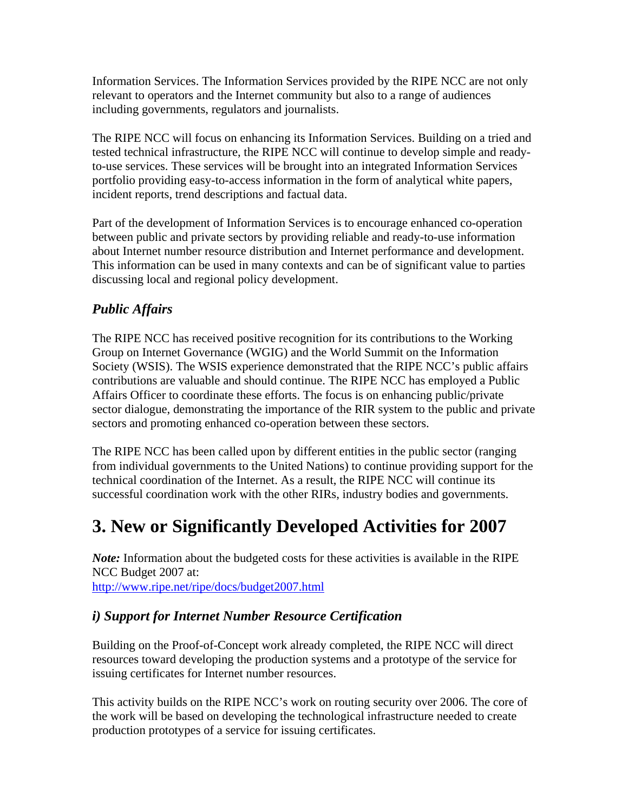Information Services. The Information Services provided by the RIPE NCC are not only relevant to operators and the Internet community but also to a range of audiences including governments, regulators and journalists.

The RIPE NCC will focus on enhancing its Information Services. Building on a tried and tested technical infrastructure, the RIPE NCC will continue to develop simple and readyto-use services. These services will be brought into an integrated Information Services portfolio providing easy-to-access information in the form of analytical white papers, incident reports, trend descriptions and factual data.

Part of the development of Information Services is to encourage enhanced co-operation between public and private sectors by providing reliable and ready-to-use information about Internet number resource distribution and Internet performance and development. This information can be used in many contexts and can be of significant value to parties discussing local and regional policy development.

## *Public Affairs*

The RIPE NCC has received positive recognition for its contributions to the Working Group on Internet Governance (WGIG) and the World Summit on the Information Society (WSIS). The WSIS experience demonstrated that the RIPE NCC's public affairs contributions are valuable and should continue. The RIPE NCC has employed a Public Affairs Officer to coordinate these efforts. The focus is on enhancing public/private sector dialogue, demonstrating the importance of the RIR system to the public and private sectors and promoting enhanced co-operation between these sectors.

The RIPE NCC has been called upon by different entities in the public sector (ranging from individual governments to the United Nations) to continue providing support for the technical coordination of the Internet. As a result, the RIPE NCC will continue its successful coordination work with the other RIRs, industry bodies and governments.

# **3. New or Significantly Developed Activities for 2007**

*Note:* Information about the budgeted costs for these activities is available in the RIPE NCC Budget 2007 at: <http://www.ripe.net/ripe/docs/budget2007.html>

## *i) Support for Internet Number Resource Certification*

Building on the Proof-of-Concept work already completed, the RIPE NCC will direct resources toward developing the production systems and a prototype of the service for issuing certificates for Internet number resources.

This activity builds on the RIPE NCC's work on routing security over 2006. The core of the work will be based on developing the technological infrastructure needed to create production prototypes of a service for issuing certificates.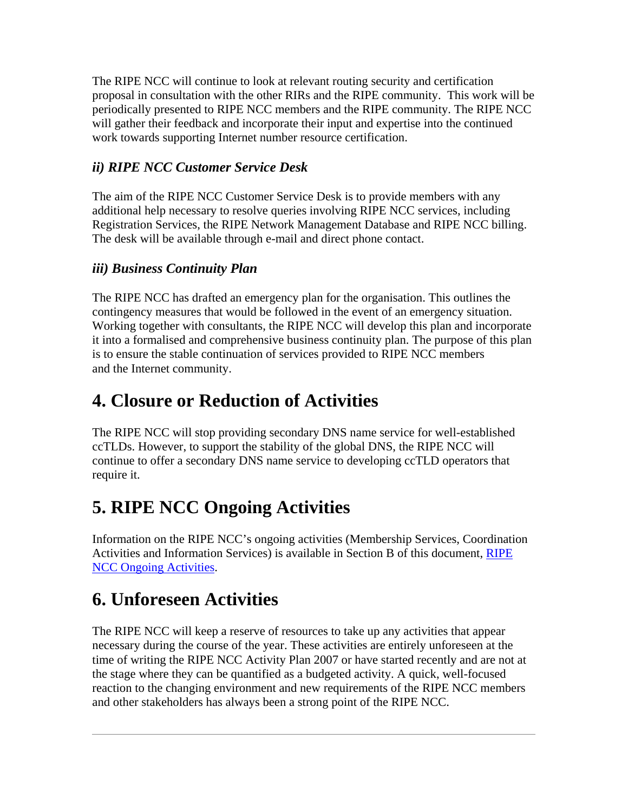The RIPE NCC will continue to look at relevant routing security and certification proposal in consultation with the other RIRs and the RIPE community. This work will be periodically presented to RIPE NCC members and the RIPE community. The RIPE NCC will gather their feedback and incorporate their input and expertise into the continued work towards supporting Internet number resource certification.

## *ii) RIPE NCC Customer Service Desk*

The aim of the RIPE NCC Customer Service Desk is to provide members with any additional help necessary to resolve queries involving RIPE NCC services, including Registration Services, the RIPE Network Management Database and RIPE NCC billing. The desk will be available through e-mail and direct phone contact.

## *iii) Business Continuity Plan*

The RIPE NCC has drafted an emergency plan for the organisation. This outlines the contingency measures that would be followed in the event of an emergency situation. Working together with consultants, the RIPE NCC will develop this plan and incorporate it into a formalised and comprehensive business continuity plan. The purpose of this plan is to ensure the stable continuation of services provided to RIPE NCC members and the Internet community.

# **4. Closure or Reduction of Activities**

The RIPE NCC will stop providing secondary DNS name service for well-established ccTLDs. However, to support the stability of the global DNS, the RIPE NCC will continue to offer a secondary DNS name service to developing ccTLD operators that require it.

# **5. RIPE NCC Ongoing Activities**

Information on the RIPE NCC's ongoing activities (Membership Services, Coordination Activities and Information Services) is available in Section B of this document, [RIPE](http://test-www.ripe.net/ripe/docs/ap2007.html#ongoing#ongoing)  [NCC Ongoing Activities](http://test-www.ripe.net/ripe/docs/ap2007.html#ongoing#ongoing).

# **6. Unforeseen Activities**

The RIPE NCC will keep a reserve of resources to take up any activities that appear necessary during the course of the year. These activities are entirely unforeseen at the time of writing the RIPE NCC Activity Plan 2007 or have started recently and are not at the stage where they can be quantified as a budgeted activity. A quick, well-focused reaction to the changing environment and new requirements of the RIPE NCC members and other stakeholders has always been a strong point of the RIPE NCC.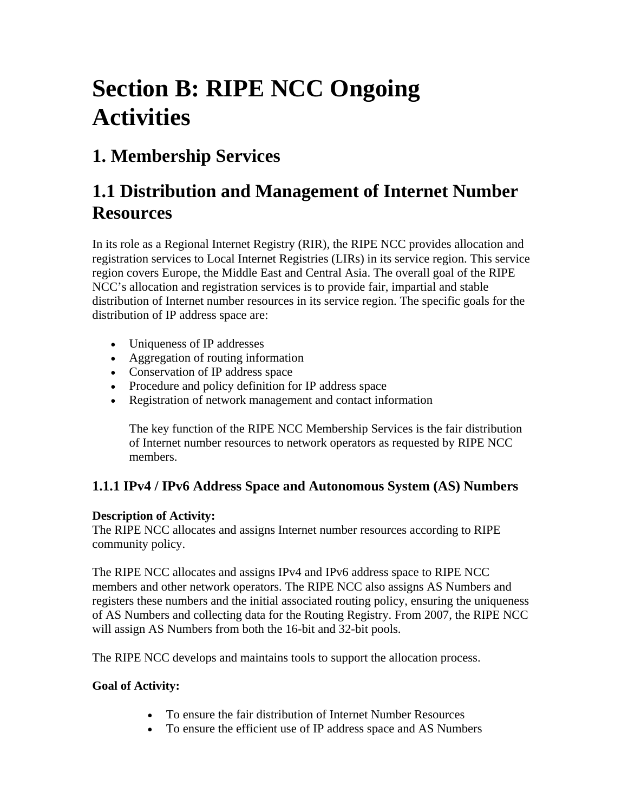# **Section B: RIPE NCC Ongoing Activities**

# **1. Membership Services**

# **1.1 Distribution and Management of Internet Number Resources**

In its role as a Regional Internet Registry (RIR), the RIPE NCC provides allocation and registration services to Local Internet Registries (LIRs) in its service region. This service region covers Europe, the Middle East and Central Asia. The overall goal of the RIPE NCC's allocation and registration services is to provide fair, impartial and stable distribution of Internet number resources in its service region. The specific goals for the distribution of IP address space are:

- Uniqueness of IP addresses
- Aggregation of routing information
- Conservation of IP address space
- Procedure and policy definition for IP address space
- Registration of network management and contact information

The key function of the RIPE NCC Membership Services is the fair distribution of Internet number resources to network operators as requested by RIPE NCC members.

## **1.1.1 IPv4 / IPv6 Address Space and Autonomous System (AS) Numbers**

## **Description of Activity:**

The RIPE NCC allocates and assigns Internet number resources according to RIPE community policy.

The RIPE NCC allocates and assigns IPv4 and IPv6 address space to RIPE NCC members and other network operators. The RIPE NCC also assigns AS Numbers and registers these numbers and the initial associated routing policy, ensuring the uniqueness of AS Numbers and collecting data for the Routing Registry. From 2007, the RIPE NCC will assign AS Numbers from both the 16-bit and 32-bit pools.

The RIPE NCC develops and maintains tools to support the allocation process.

- To ensure the fair distribution of Internet Number Resources
- To ensure the efficient use of IP address space and AS Numbers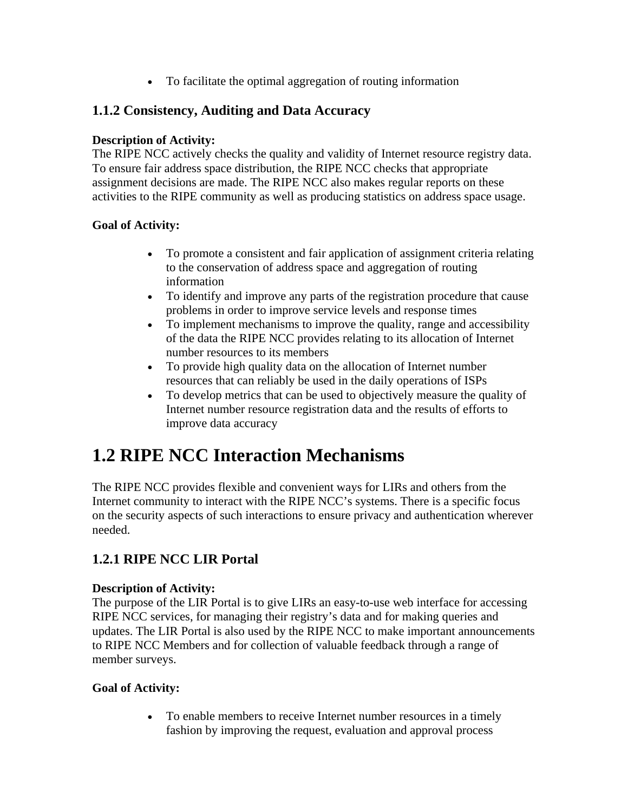• To facilitate the optimal aggregation of routing information

## **1.1.2 Consistency, Auditing and Data Accuracy**

## **Description of Activity:**

The RIPE NCC actively checks the quality and validity of Internet resource registry data. To ensure fair address space distribution, the RIPE NCC checks that appropriate assignment decisions are made. The RIPE NCC also makes regular reports on these activities to the RIPE community as well as producing statistics on address space usage.

## **Goal of Activity:**

- To promote a consistent and fair application of assignment criteria relating to the conservation of address space and aggregation of routing information
- To identify and improve any parts of the registration procedure that cause problems in order to improve service levels and response times
- To implement mechanisms to improve the quality, range and accessibility of the data the RIPE NCC provides relating to its allocation of Internet number resources to its members
- To provide high quality data on the allocation of Internet number resources that can reliably be used in the daily operations of ISPs
- To develop metrics that can be used to objectively measure the quality of Internet number resource registration data and the results of efforts to improve data accuracy

# **1.2 RIPE NCC Interaction Mechanisms**

The RIPE NCC provides flexible and convenient ways for LIRs and others from the Internet community to interact with the RIPE NCC's systems. There is a specific focus on the security aspects of such interactions to ensure privacy and authentication wherever needed.

## **1.2.1 RIPE NCC LIR Portal**

#### **Description of Activity:**

The purpose of the LIR Portal is to give LIRs an easy-to-use web interface for accessing RIPE NCC services, for managing their registry's data and for making queries and updates. The LIR Portal is also used by the RIPE NCC to make important announcements to RIPE NCC Members and for collection of valuable feedback through a range of member surveys.

## **Goal of Activity:**

• To enable members to receive Internet number resources in a timely fashion by improving the request, evaluation and approval process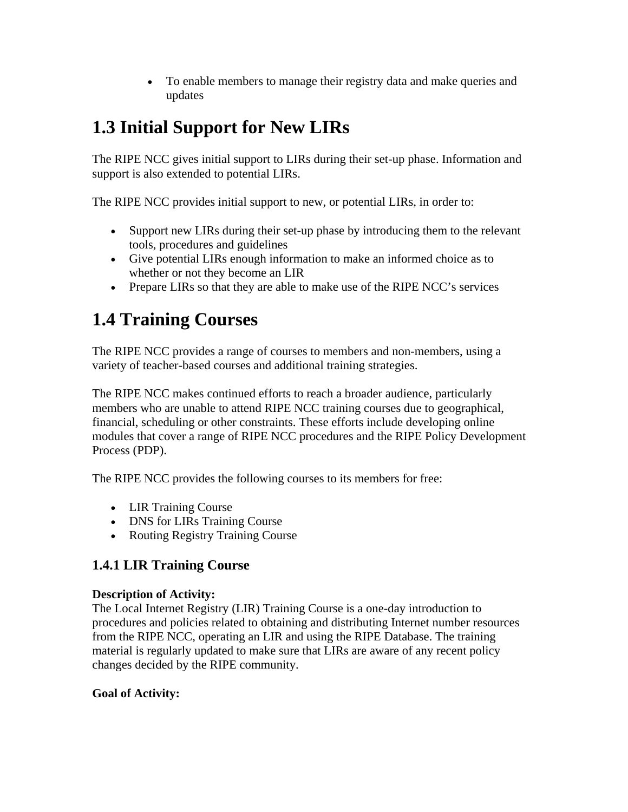• To enable members to manage their registry data and make queries and updates

# **1.3 Initial Support for New LIRs**

The RIPE NCC gives initial support to LIRs during their set-up phase. Information and support is also extended to potential LIRs.

The RIPE NCC provides initial support to new, or potential LIRs, in order to:

- Support new LIRs during their set-up phase by introducing them to the relevant tools, procedures and guidelines
- Give potential LIRs enough information to make an informed choice as to whether or not they become an LIR
- Prepare LIRs so that they are able to make use of the RIPE NCC's services

# **1.4 Training Courses**

The RIPE NCC provides a range of courses to members and non-members, using a variety of teacher-based courses and additional training strategies.

The RIPE NCC makes continued efforts to reach a broader audience, particularly members who are unable to attend RIPE NCC training courses due to geographical, financial, scheduling or other constraints. These efforts include developing online modules that cover a range of RIPE NCC procedures and the RIPE Policy Development Process (PDP).

The RIPE NCC provides the following courses to its members for free:

- LIR Training Course
- DNS for LIRs Training Course
- Routing Registry Training Course

## **1.4.1 LIR Training Course**

#### **Description of Activity:**

The Local Internet Registry (LIR) Training Course is a one-day introduction to procedures and policies related to obtaining and distributing Internet number resources from the RIPE NCC, operating an LIR and using the RIPE Database. The training material is regularly updated to make sure that LIRs are aware of any recent policy changes decided by the RIPE community.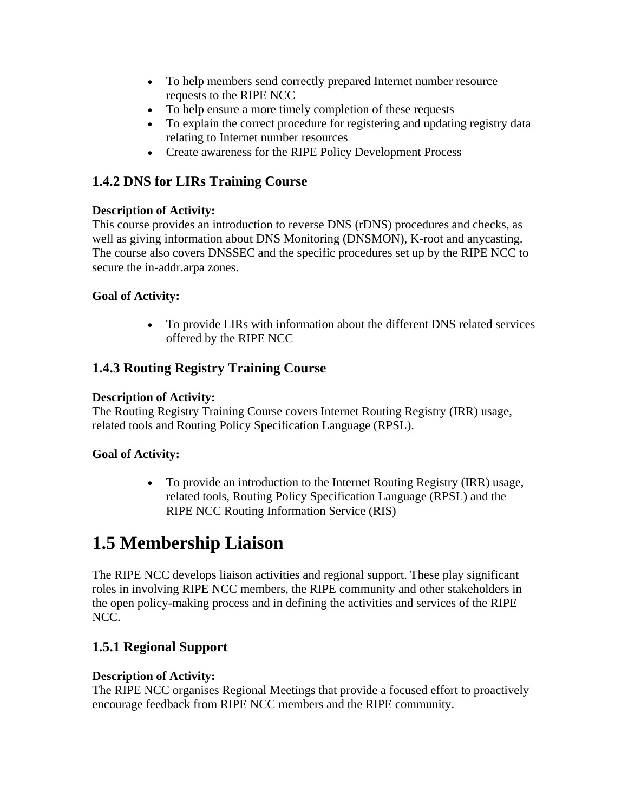- To help members send correctly prepared Internet number resource requests to the RIPE NCC
- To help ensure a more timely completion of these requests
- To explain the correct procedure for registering and updating registry data relating to Internet number resources
- Create awareness for the RIPE Policy Development Process

## **1.4.2 DNS for LIRs Training Course**

## **Description of Activity:**

This course provides an introduction to reverse DNS (rDNS) procedures and checks, as well as giving information about DNS Monitoring (DNSMON), K-root and anycasting. The course also covers DNSSEC and the specific procedures set up by the RIPE NCC to secure the in-addr.arpa zones.

## **Goal of Activity:**

• To provide LIRs with information about the different DNS related services offered by the RIPE NCC

## **1.4.3 Routing Registry Training Course**

## **Description of Activity:**

The Routing Registry Training Course covers Internet Routing Registry (IRR) usage, related tools and Routing Policy Specification Language (RPSL).

## **Goal of Activity:**

• To provide an introduction to the Internet Routing Registry (IRR) usage, related tools, Routing Policy Specification Language (RPSL) and the RIPE NCC Routing Information Service (RIS)

## **1.5 Membership Liaison**

The RIPE NCC develops liaison activities and regional support. These play significant roles in involving RIPE NCC members, the RIPE community and other stakeholders in the open policy-making process and in defining the activities and services of the RIPE NCC.

## **1.5.1 Regional Support**

#### **Description of Activity:**

The RIPE NCC organises Regional Meetings that provide a focused effort to proactively encourage feedback from RIPE NCC members and the RIPE community.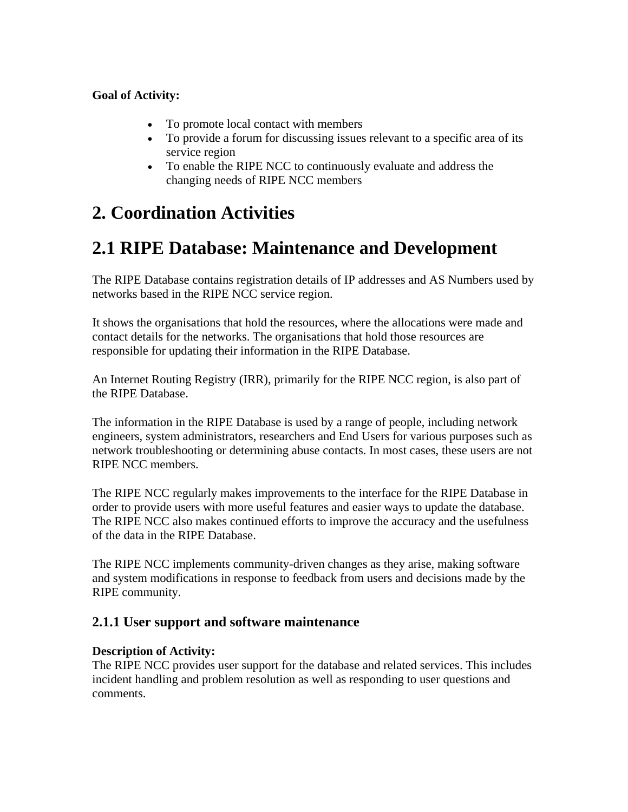## **Goal of Activity:**

- To promote local contact with members
- To provide a forum for discussing issues relevant to a specific area of its service region
- To enable the RIPE NCC to continuously evaluate and address the changing needs of RIPE NCC members

# **2. Coordination Activities**

# **2.1 RIPE Database: Maintenance and Development**

The RIPE Database contains registration details of IP addresses and AS Numbers used by networks based in the RIPE NCC service region.

It shows the organisations that hold the resources, where the allocations were made and contact details for the networks. The organisations that hold those resources are responsible for updating their information in the RIPE Database.

An Internet Routing Registry (IRR), primarily for the RIPE NCC region, is also part of the RIPE Database.

The information in the RIPE Database is used by a range of people, including network engineers, system administrators, researchers and End Users for various purposes such as network troubleshooting or determining abuse contacts. In most cases, these users are not RIPE NCC members.

The RIPE NCC regularly makes improvements to the interface for the RIPE Database in order to provide users with more useful features and easier ways to update the database. The RIPE NCC also makes continued efforts to improve the accuracy and the usefulness of the data in the RIPE Database.

The RIPE NCC implements community-driven changes as they arise, making software and system modifications in response to feedback from users and decisions made by the RIPE community.

## **2.1.1 User support and software maintenance**

#### **Description of Activity:**

The RIPE NCC provides user support for the database and related services. This includes incident handling and problem resolution as well as responding to user questions and comments.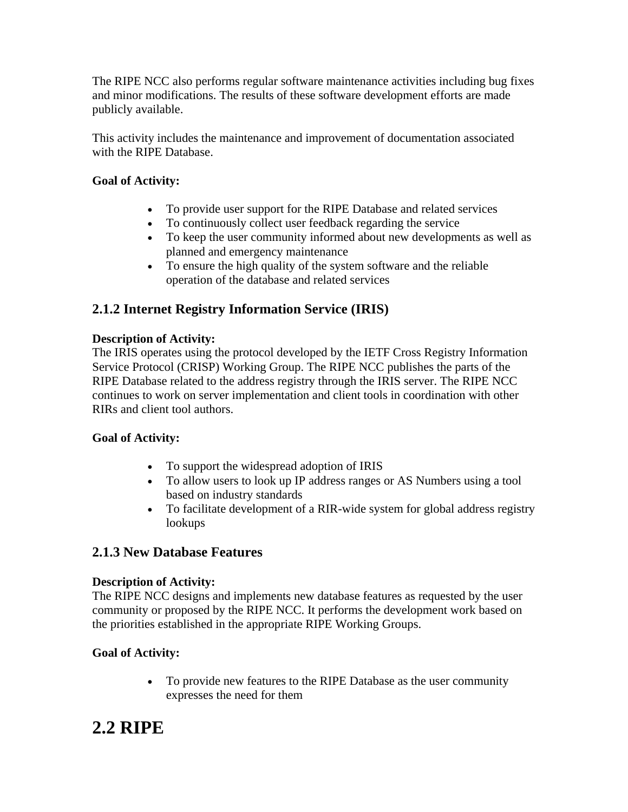The RIPE NCC also performs regular software maintenance activities including bug fixes and minor modifications. The results of these software development efforts are made publicly available.

This activity includes the maintenance and improvement of documentation associated with the RIPE Database.

## **Goal of Activity:**

- To provide user support for the RIPE Database and related services
- To continuously collect user feedback regarding the service
- To keep the user community informed about new developments as well as planned and emergency maintenance
- To ensure the high quality of the system software and the reliable operation of the database and related services

## **2.1.2 Internet Registry Information Service (IRIS)**

## **Description of Activity:**

The IRIS operates using the protocol developed by the IETF Cross Registry Information Service Protocol (CRISP) Working Group. The RIPE NCC publishes the parts of the RIPE Database related to the address registry through the IRIS server. The RIPE NCC continues to work on server implementation and client tools in coordination with other RIRs and client tool authors.

## **Goal of Activity:**

- To support the widespread adoption of IRIS
- To allow users to look up IP address ranges or AS Numbers using a tool based on industry standards
- To facilitate development of a RIR-wide system for global address registry lookups

## **2.1.3 New Database Features**

#### **Description of Activity:**

The RIPE NCC designs and implements new database features as requested by the user community or proposed by the RIPE NCC. It performs the development work based on the priorities established in the appropriate RIPE Working Groups.

## **Goal of Activity:**

• To provide new features to the RIPE Database as the user community expresses the need for them

## **2.2 RIPE**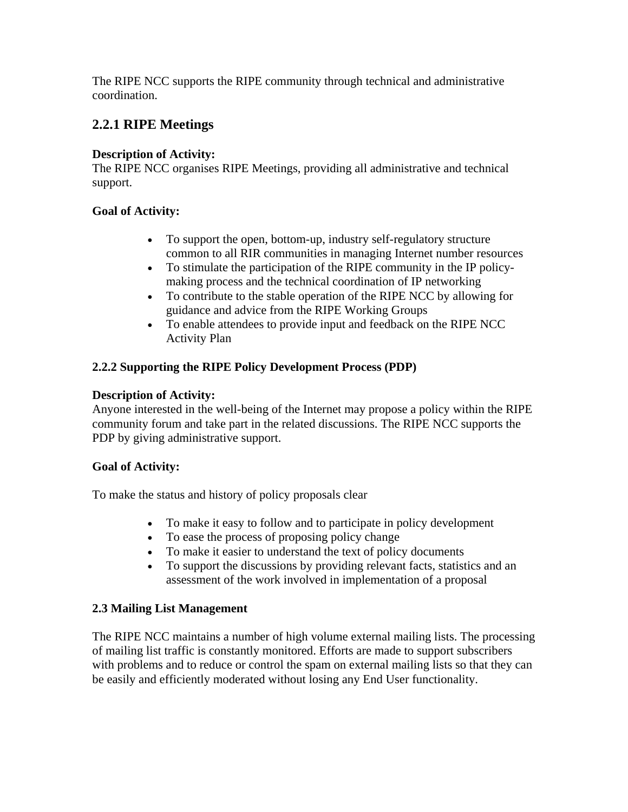The RIPE NCC supports the RIPE community through technical and administrative coordination.

## **2.2.1 RIPE Meetings**

#### **Description of Activity:**

The RIPE NCC organises RIPE Meetings, providing all administrative and technical support.

#### **Goal of Activity:**

- To support the open, bottom-up, industry self-regulatory structure common to all RIR communities in managing Internet number resources
- To stimulate the participation of the RIPE community in the IP policymaking process and the technical coordination of IP networking
- To contribute to the stable operation of the RIPE NCC by allowing for guidance and advice from the RIPE Working Groups
- To enable attendees to provide input and feedback on the RIPE NCC Activity Plan

## **2.2.2 Supporting the RIPE Policy Development Process (PDP)**

#### **Description of Activity:**

Anyone interested in the well-being of the Internet may propose a policy within the RIPE community forum and take part in the related discussions. The RIPE NCC supports the PDP by giving administrative support.

#### **Goal of Activity:**

To make the status and history of policy proposals clear

- To make it easy to follow and to participate in policy development
- To ease the process of proposing policy change
- To make it easier to understand the text of policy documents
- To support the discussions by providing relevant facts, statistics and an assessment of the work involved in implementation of a proposal

#### **2.3 Mailing List Management**

The RIPE NCC maintains a number of high volume external mailing lists. The processing of mailing list traffic is constantly monitored. Efforts are made to support subscribers with problems and to reduce or control the spam on external mailing lists so that they can be easily and efficiently moderated without losing any End User functionality.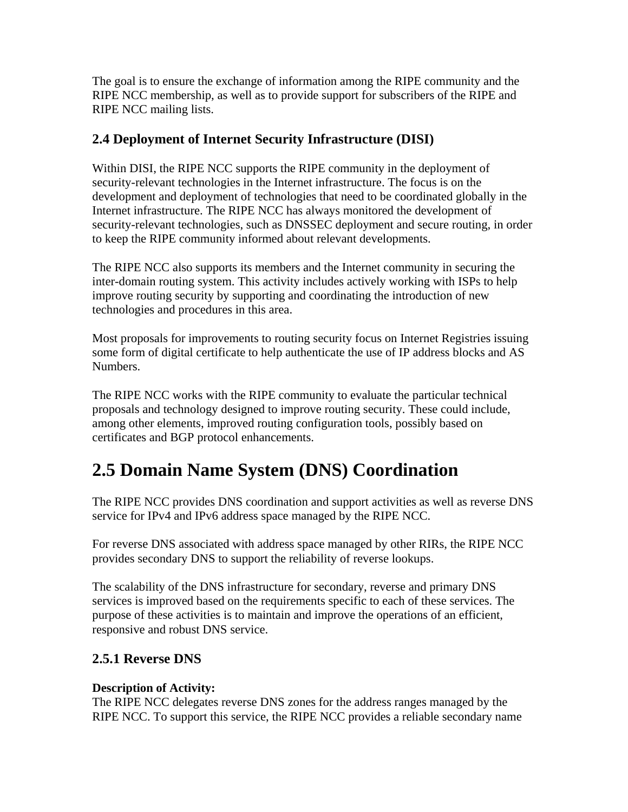The goal is to ensure the exchange of information among the RIPE community and the RIPE NCC membership, as well as to provide support for subscribers of the RIPE and RIPE NCC mailing lists.

## **2.4 Deployment of Internet Security Infrastructure (DISI)**

Within DISI, the RIPE NCC supports the RIPE community in the deployment of security-relevant technologies in the Internet infrastructure. The focus is on the development and deployment of technologies that need to be coordinated globally in the Internet infrastructure. The RIPE NCC has always monitored the development of security-relevant technologies, such as DNSSEC deployment and secure routing, in order to keep the RIPE community informed about relevant developments.

The RIPE NCC also supports its members and the Internet community in securing the inter-domain routing system. This activity includes actively working with ISPs to help improve routing security by supporting and coordinating the introduction of new technologies and procedures in this area.

Most proposals for improvements to routing security focus on Internet Registries issuing some form of digital certificate to help authenticate the use of IP address blocks and AS Numbers.

The RIPE NCC works with the RIPE community to evaluate the particular technical proposals and technology designed to improve routing security. These could include, among other elements, improved routing configuration tools, possibly based on certificates and BGP protocol enhancements.

# **2.5 Domain Name System (DNS) Coordination**

The RIPE NCC provides DNS coordination and support activities as well as reverse DNS service for IPv4 and IPv6 address space managed by the RIPE NCC.

For reverse DNS associated with address space managed by other RIRs, the RIPE NCC provides secondary DNS to support the reliability of reverse lookups.

The scalability of the DNS infrastructure for secondary, reverse and primary DNS services is improved based on the requirements specific to each of these services. The purpose of these activities is to maintain and improve the operations of an efficient, responsive and robust DNS service.

## **2.5.1 Reverse DNS**

## **Description of Activity:**

The RIPE NCC delegates reverse DNS zones for the address ranges managed by the RIPE NCC. To support this service, the RIPE NCC provides a reliable secondary name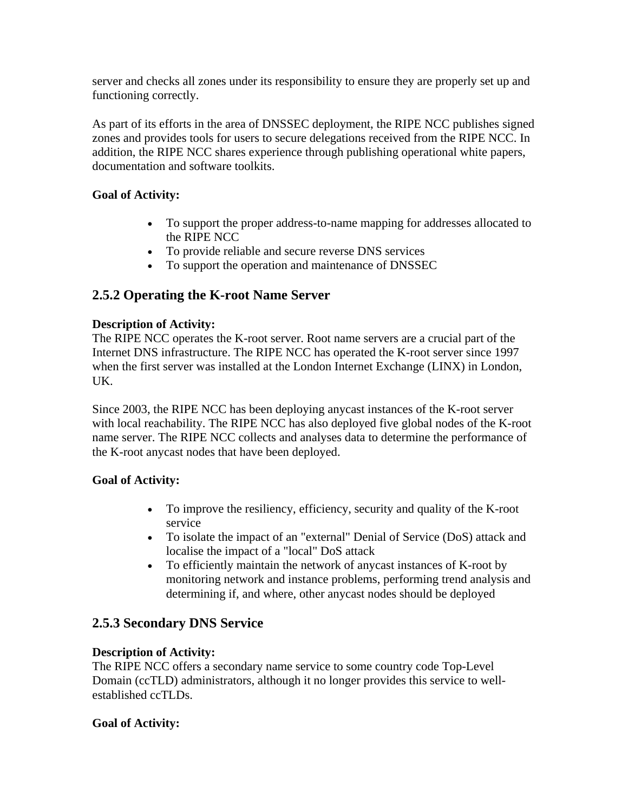server and checks all zones under its responsibility to ensure they are properly set up and functioning correctly.

As part of its efforts in the area of DNSSEC deployment, the RIPE NCC publishes signed zones and provides tools for users to secure delegations received from the RIPE NCC. In addition, the RIPE NCC shares experience through publishing operational white papers, documentation and software toolkits.

## **Goal of Activity:**

- To support the proper address-to-name mapping for addresses allocated to the RIPE NCC
- To provide reliable and secure reverse DNS services
- To support the operation and maintenance of DNSSEC

## **2.5.2 Operating the K-root Name Server**

## **Description of Activity:**

The RIPE NCC operates the K-root server. Root name servers are a crucial part of the Internet DNS infrastructure. The RIPE NCC has operated the K-root server since 1997 when the first server was installed at the London Internet Exchange (LINX) in London, UK.

Since 2003, the RIPE NCC has been deploying anycast instances of the K-root server with local reachability. The RIPE NCC has also deployed five global nodes of the K-root name server. The RIPE NCC collects and analyses data to determine the performance of the K-root anycast nodes that have been deployed.

#### **Goal of Activity:**

- To improve the resiliency, efficiency, security and quality of the K-root service
- To isolate the impact of an "external" Denial of Service (DoS) attack and localise the impact of a "local" DoS attack
- To efficiently maintain the network of anycast instances of K-root by monitoring network and instance problems, performing trend analysis and determining if, and where, other anycast nodes should be deployed

## **2.5.3 Secondary DNS Service**

#### **Description of Activity:**

The RIPE NCC offers a secondary name service to some country code Top-Level Domain (ccTLD) administrators, although it no longer provides this service to wellestablished ccTLDs.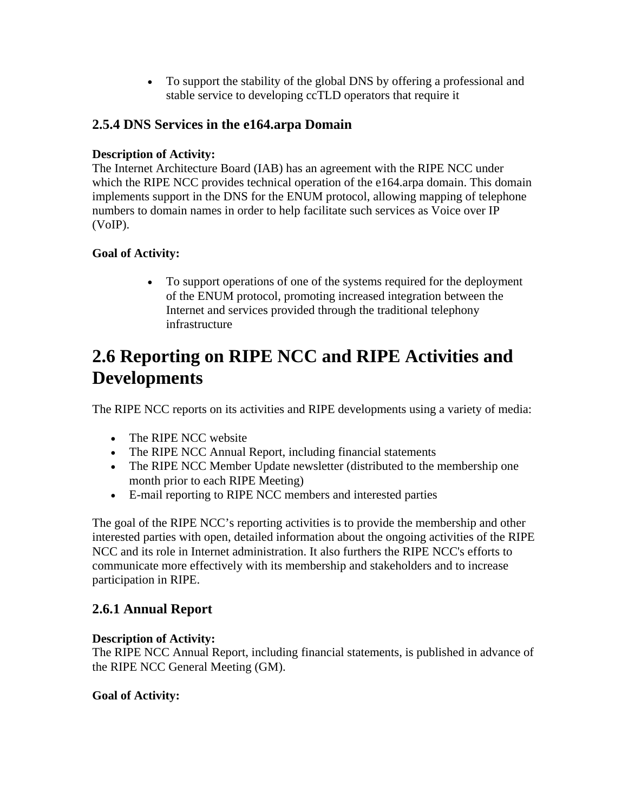• To support the stability of the global DNS by offering a professional and stable service to developing ccTLD operators that require it

## **2.5.4 DNS Services in the e164.arpa Domain**

## **Description of Activity:**

The Internet Architecture Board (IAB) has an agreement with the RIPE NCC under which the RIPE NCC provides technical operation of the e164.arpa domain. This domain implements support in the DNS for the ENUM protocol, allowing mapping of telephone numbers to domain names in order to help facilitate such services as Voice over IP (VoIP).

## **Goal of Activity:**

• To support operations of one of the systems required for the deployment of the ENUM protocol, promoting increased integration between the Internet and services provided through the traditional telephony infrastructure

## **2.6 Reporting on RIPE NCC and RIPE Activities and Developments**

The RIPE NCC reports on its activities and RIPE developments using a variety of media:

- The RIPE NCC website
- The RIPE NCC Annual Report, including financial statements
- The RIPE NCC Member Update newsletter (distributed to the membership one month prior to each RIPE Meeting)
- E-mail reporting to RIPE NCC members and interested parties

The goal of the RIPE NCC's reporting activities is to provide the membership and other interested parties with open, detailed information about the ongoing activities of the RIPE NCC and its role in Internet administration. It also furthers the RIPE NCC's efforts to communicate more effectively with its membership and stakeholders and to increase participation in RIPE.

## **2.6.1 Annual Report**

#### **Description of Activity:**

The RIPE NCC Annual Report, including financial statements, is published in advance of the RIPE NCC General Meeting (GM).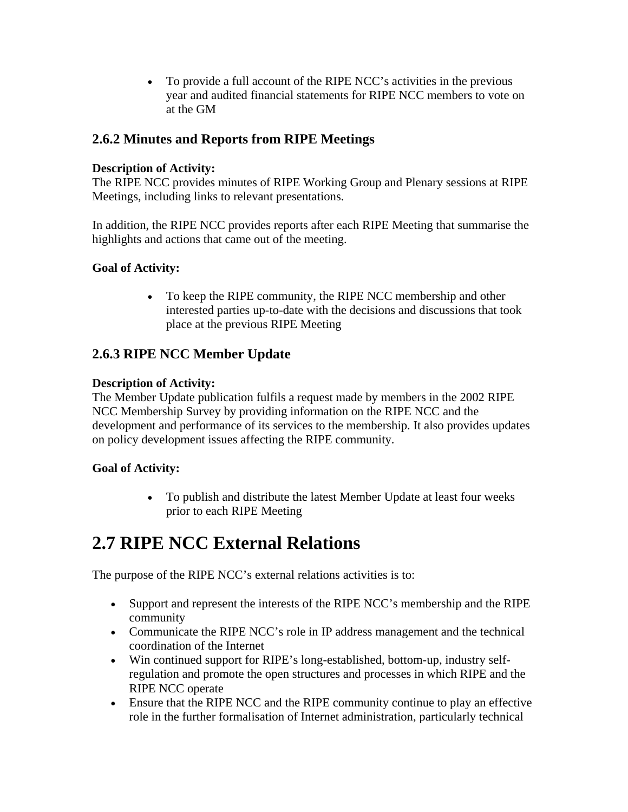• To provide a full account of the RIPE NCC's activities in the previous year and audited financial statements for RIPE NCC members to vote on at the GM

## **2.6.2 Minutes and Reports from RIPE Meetings**

#### **Description of Activity:**

The RIPE NCC provides minutes of RIPE Working Group and Plenary sessions at RIPE Meetings, including links to relevant presentations.

In addition, the RIPE NCC provides reports after each RIPE Meeting that summarise the highlights and actions that came out of the meeting.

## **Goal of Activity:**

• To keep the RIPE community, the RIPE NCC membership and other interested parties up-to-date with the decisions and discussions that took place at the previous RIPE Meeting

## **2.6.3 RIPE NCC Member Update**

## **Description of Activity:**

The Member Update publication fulfils a request made by members in the 2002 RIPE NCC Membership Survey by providing information on the RIPE NCC and the development and performance of its services to the membership. It also provides updates on policy development issues affecting the RIPE community.

## **Goal of Activity:**

• To publish and distribute the latest Member Update at least four weeks prior to each RIPE Meeting

# **2.7 RIPE NCC External Relations**

The purpose of the RIPE NCC's external relations activities is to:

- Support and represent the interests of the RIPE NCC's membership and the RIPE community
- Communicate the RIPE NCC's role in IP address management and the technical coordination of the Internet
- Win continued support for RIPE's long-established, bottom-up, industry selfregulation and promote the open structures and processes in which RIPE and the RIPE NCC operate
- Ensure that the RIPE NCC and the RIPE community continue to play an effective role in the further formalisation of Internet administration, particularly technical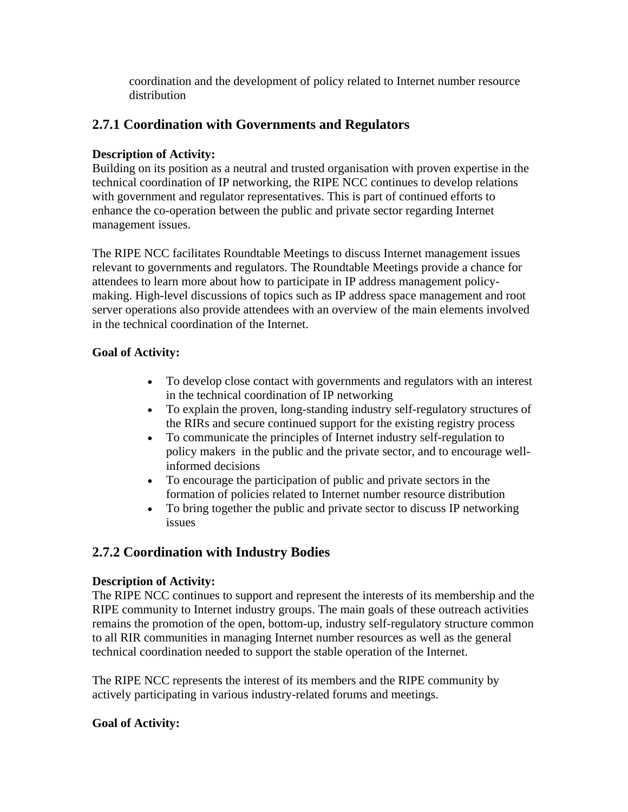coordination and the development of policy related to Internet number resource distribution

## **2.7.1 Coordination with Governments and Regulators**

#### **Description of Activity:**

Building on its position as a neutral and trusted organisation with proven expertise in the technical coordination of IP networking, the RIPE NCC continues to develop relations with government and regulator representatives. This is part of continued efforts to enhance the co-operation between the public and private sector regarding Internet management issues.

The RIPE NCC facilitates Roundtable Meetings to discuss Internet management issues relevant to governments and regulators. The Roundtable Meetings provide a chance for attendees to learn more about how to participate in IP address management policymaking. High-level discussions of topics such as IP address space management and root server operations also provide attendees with an overview of the main elements involved in the technical coordination of the Internet.

## **Goal of Activity:**

- To develop close contact with governments and regulators with an interest in the technical coordination of IP networking
- To explain the proven, long-standing industry self-regulatory structures of the RIRs and secure continued support for the existing registry process
- To communicate the principles of Internet industry self-regulation to policy makers in the public and the private sector, and to encourage wellinformed decisions
- To encourage the participation of public and private sectors in the formation of policies related to Internet number resource distribution
- To bring together the public and private sector to discuss IP networking issues

## **2.7.2 Coordination with Industry Bodies**

#### **Description of Activity:**

The RIPE NCC continues to support and represent the interests of its membership and the RIPE community to Internet industry groups. The main goals of these outreach activities remains the promotion of the open, bottom-up, industry self-regulatory structure common to all RIR communities in managing Internet number resources as well as the general technical coordination needed to support the stable operation of the Internet.

The RIPE NCC represents the interest of its members and the RIPE community by actively participating in various industry-related forums and meetings.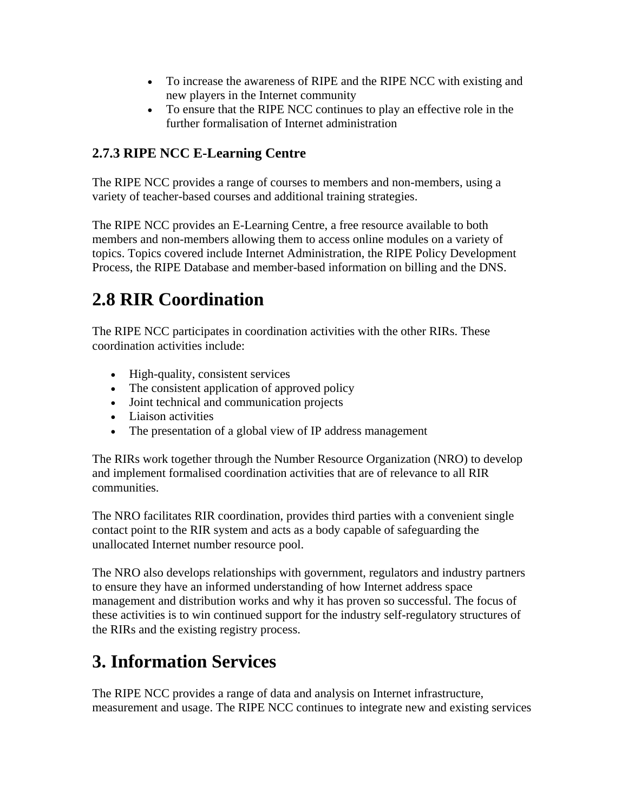- To increase the awareness of RIPE and the RIPE NCC with existing and new players in the Internet community
- To ensure that the RIPE NCC continues to play an effective role in the further formalisation of Internet administration

## **2.7.3 RIPE NCC E-Learning Centre**

The RIPE NCC provides a range of courses to members and non-members, using a variety of teacher-based courses and additional training strategies.

The RIPE NCC provides an E-Learning Centre, a free resource available to both members and non-members allowing them to access online modules on a variety of topics. Topics covered include Internet Administration, the RIPE Policy Development Process, the RIPE Database and member-based information on billing and the DNS.

# **2.8 RIR Coordination**

The RIPE NCC participates in coordination activities with the other RIRs. These coordination activities include:

- High-quality, consistent services
- The consistent application of approved policy
- Joint technical and communication projects
- Liaison activities
- The presentation of a global view of IP address management

The RIRs work together through the Number Resource Organization (NRO) to develop and implement formalised coordination activities that are of relevance to all RIR communities.

The NRO facilitates RIR coordination, provides third parties with a convenient single contact point to the RIR system and acts as a body capable of safeguarding the unallocated Internet number resource pool.

The NRO also develops relationships with government, regulators and industry partners to ensure they have an informed understanding of how Internet address space management and distribution works and why it has proven so successful. The focus of these activities is to win continued support for the industry self-regulatory structures of the RIRs and the existing registry process.

# **3. Information Services**

The RIPE NCC provides a range of data and analysis on Internet infrastructure, measurement and usage. The RIPE NCC continues to integrate new and existing services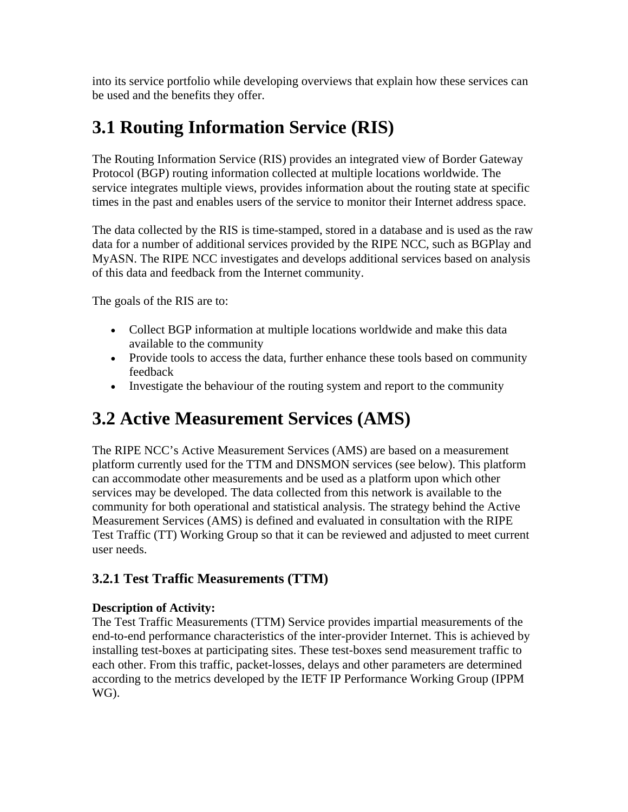into its service portfolio while developing overviews that explain how these services can be used and the benefits they offer.

# **3.1 Routing Information Service (RIS)**

The Routing Information Service (RIS) provides an integrated view of Border Gateway Protocol (BGP) routing information collected at multiple locations worldwide. The service integrates multiple views, provides information about the routing state at specific times in the past and enables users of the service to monitor their Internet address space.

The data collected by the RIS is time-stamped, stored in a database and is used as the raw data for a number of additional services provided by the RIPE NCC, such as BGPlay and MyASN. The RIPE NCC investigates and develops additional services based on analysis of this data and feedback from the Internet community.

The goals of the RIS are to:

- Collect BGP information at multiple locations worldwide and make this data available to the community
- Provide tools to access the data, further enhance these tools based on community feedback
- Investigate the behaviour of the routing system and report to the community

# **3.2 Active Measurement Services (AMS)**

The RIPE NCC's Active Measurement Services (AMS) are based on a measurement platform currently used for the TTM and DNSMON services (see below). This platform can accommodate other measurements and be used as a platform upon which other services may be developed. The data collected from this network is available to the community for both operational and statistical analysis. The strategy behind the Active Measurement Services (AMS) is defined and evaluated in consultation with the RIPE Test Traffic (TT) Working Group so that it can be reviewed and adjusted to meet current user needs.

## **3.2.1 Test Traffic Measurements (TTM)**

#### **Description of Activity:**

The Test Traffic Measurements (TTM) Service provides impartial measurements of the end-to-end performance characteristics of the inter-provider Internet. This is achieved by installing test-boxes at participating sites. These test-boxes send measurement traffic to each other. From this traffic, packet-losses, delays and other parameters are determined according to the metrics developed by the IETF IP Performance Working Group (IPPM WG).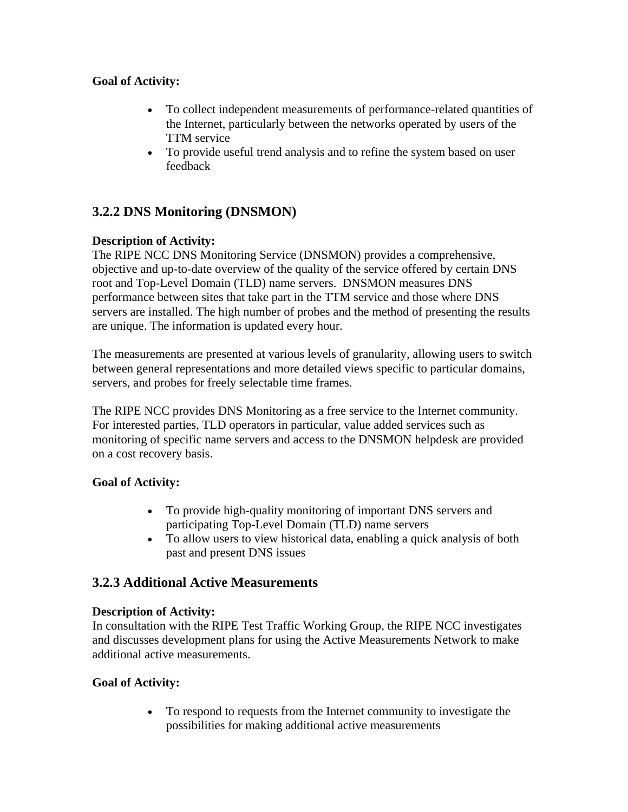## **Goal of Activity:**

- To collect independent measurements of performance-related quantities of the Internet, particularly between the networks operated by users of the TTM service
- To provide useful trend analysis and to refine the system based on user feedback

## **3.2.2 DNS Monitoring (DNSMON)**

## **Description of Activity:**

The RIPE NCC DNS Monitoring Service (DNSMON) provides a comprehensive, objective and up-to-date overview of the quality of the service offered by certain DNS root and Top-Level Domain (TLD) name servers. DNSMON measures DNS performance between sites that take part in the TTM service and those where DNS servers are installed. The high number of probes and the method of presenting the results are unique. The information is updated every hour.

The measurements are presented at various levels of granularity, allowing users to switch between general representations and more detailed views specific to particular domains, servers, and probes for freely selectable time frames.

The RIPE NCC provides DNS Monitoring as a free service to the Internet community. For interested parties, TLD operators in particular, value added services such as monitoring of specific name servers and access to the DNSMON helpdesk are provided on a cost recovery basis.

#### **Goal of Activity:**

- To provide high-quality monitoring of important DNS servers and participating Top-Level Domain (TLD) name servers
- To allow users to view historical data, enabling a quick analysis of both past and present DNS issues

## **3.2.3 Additional Active Measurements**

#### **Description of Activity:**

In consultation with the RIPE Test Traffic Working Group, the RIPE NCC investigates and discusses development plans for using the Active Measurements Network to make additional active measurements.

## **Goal of Activity:**

• To respond to requests from the Internet community to investigate the possibilities for making additional active measurements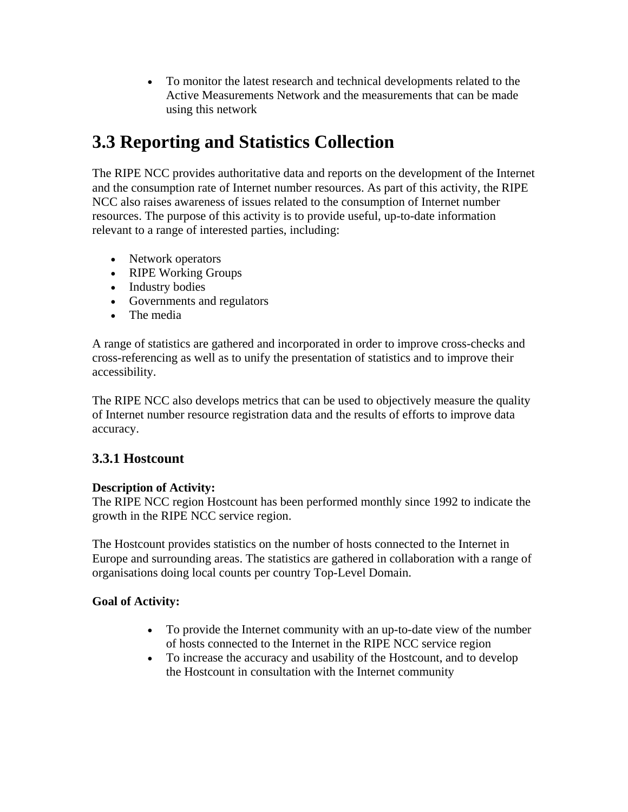• To monitor the latest research and technical developments related to the Active Measurements Network and the measurements that can be made using this network

# **3.3 Reporting and Statistics Collection**

The RIPE NCC provides authoritative data and reports on the development of the Internet and the consumption rate of Internet number resources. As part of this activity, the RIPE NCC also raises awareness of issues related to the consumption of Internet number resources. The purpose of this activity is to provide useful, up-to-date information relevant to a range of interested parties, including:

- Network operators
- RIPE Working Groups
- Industry bodies
- Governments and regulators
- The media

A range of statistics are gathered and incorporated in order to improve cross-checks and cross-referencing as well as to unify the presentation of statistics and to improve their accessibility.

The RIPE NCC also develops metrics that can be used to objectively measure the quality of Internet number resource registration data and the results of efforts to improve data accuracy.

## **3.3.1 Hostcount**

#### **Description of Activity:**

The RIPE NCC region Hostcount has been performed monthly since 1992 to indicate the growth in the RIPE NCC service region.

The Hostcount provides statistics on the number of hosts connected to the Internet in Europe and surrounding areas. The statistics are gathered in collaboration with a range of organisations doing local counts per country Top-Level Domain.

- To provide the Internet community with an up-to-date view of the number of hosts connected to the Internet in the RIPE NCC service region
- To increase the accuracy and usability of the Hostcount, and to develop the Hostcount in consultation with the Internet community